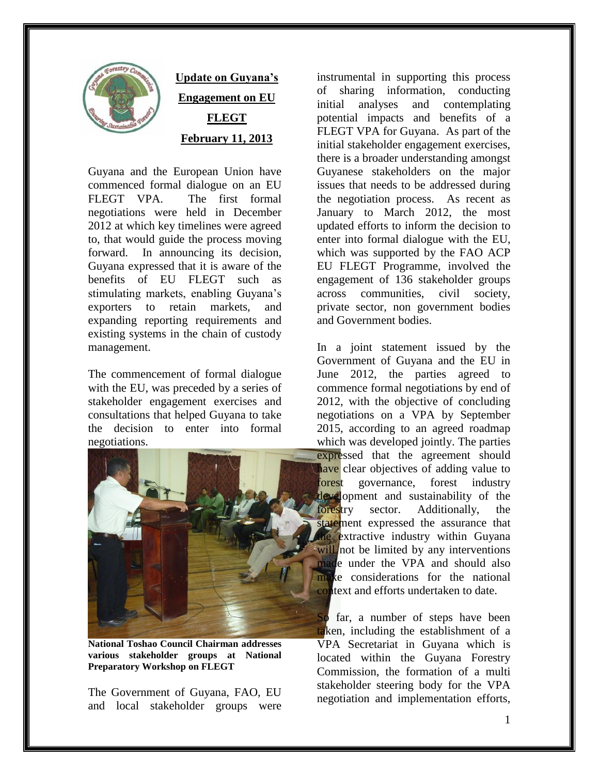

## **Update on Guyana's Engagement on EU FLEGT February 11, 2013**

Guyana and the European Union have commenced formal dialogue on an EU FLEGT VPA. The first formal negotiations were held in December 2012 at which key timelines were agreed to, that would guide the process moving forward. In announcing its decision, Guyana expressed that it is aware of the benefits of EU FLEGT such as stimulating markets, enabling Guyana's exporters to retain markets, and expanding reporting requirements and existing systems in the chain of custody management.

The commencement of formal dialogue with the EU, was preceded by a series of stakeholder engagement exercises and consultations that helped Guyana to take the decision to enter into formal negotiations.



**National Toshao Council Chairman addresses various stakeholder groups at National Preparatory Workshop on FLEGT** 

The Government of Guyana, FAO, EU and local stakeholder groups were instrumental in supporting this process of sharing information, conducting initial analyses and contemplating potential impacts and benefits of a FLEGT VPA for Guyana. As part of the initial stakeholder engagement exercises, there is a broader understanding amongst Guyanese stakeholders on the major issues that needs to be addressed during the negotiation process. As recent as January to March 2012, the most updated efforts to inform the decision to enter into formal dialogue with the EU, which was supported by the FAO ACP EU FLEGT Programme, involved the engagement of 136 stakeholder groups across communities, civil society, private sector, non government bodies and Government bodies.

In a joint statement issued by the Government of Guyana and the EU in June 2012, the parties agreed to commence formal negotiations by end of 2012, with the objective of concluding negotiations on a VPA by September 2015, according to an agreed roadmap which was developed jointly. The parties

expressed that the agreement should have clear objectives of adding value to forest governance, forest industry development and sustainability of the forestry sector. Additionally, the statement expressed the assurance that the extractive industry within Guyana will not be limited by any interventions made under the VPA and should also make considerations for the national context and efforts undertaken to date.

So far, a number of steps have been taken, including the establishment of a VPA Secretariat in Guyana which is located within the Guyana Forestry Commission, the formation of a multi stakeholder steering body for the VPA negotiation and implementation efforts,